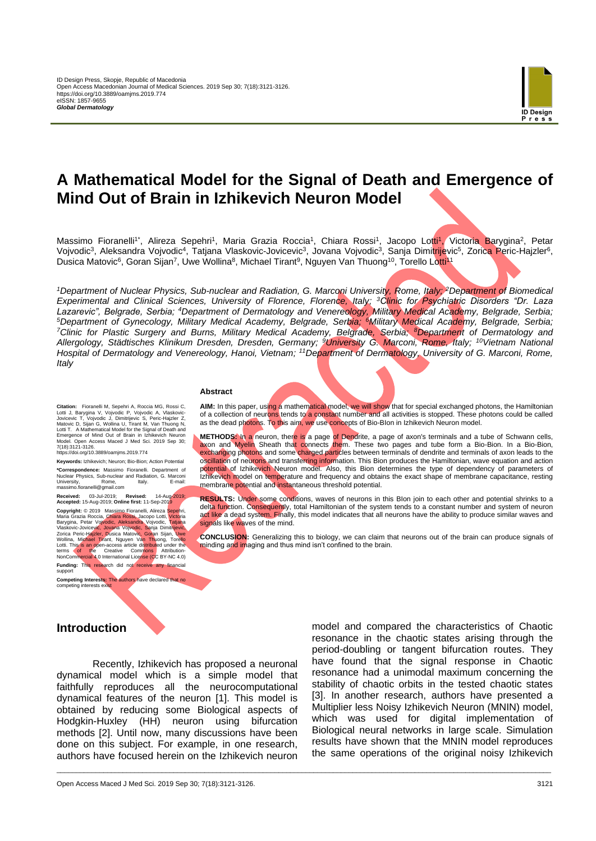

# **A Mathematical Model for the Signal of Death and Emergence of Mind Out of Brain in Izhikevich Neuron Model**

Massimo Fioranelli<sup>1\*</sup>, Alireza Sepehri<sup>1</sup>, Maria Grazia Roccia<sup>1</sup>, Chiara Rossi<sup>1</sup>, Jacopo Lotti<sup>1</sup>, Victoria Barygina<sup>2</sup>, Petar Vojvodic<sup>3</sup>, Aleksandra Vojvodic<sup>4</sup>, Tatjana Vlaskovic-Jovicevic<sup>3</sup>, Jovana Vojvodic<sup>3</sup>, Sanja Dimitrijevic<sup>5</sup>, Zorica Peric-Hajzler<sup>6</sup>, Dusica Matovic<sup>6</sup>, Goran Sijan<sup>7</sup>, Uwe Wollina<sup>8</sup>, Michael Tirant<sup>9</sup>, Nguyen Van Thuong<sup>10</sup>, Torello Lo<mark>tti<sup>11</sup></mark>

*<sup>1</sup>Department of Nuclear Physics, Sub-nuclear and Radiation, G. Marconi University, Rome, Italy; <sup>2</sup>Department of Biomedical Experimental and Clinical Sciences, University of Florence, Florence, Italy; <sup>3</sup>Clinic for Psychiatric Disorders "Dr. Laza Lazarevic", Belgrade, Serbia; <sup>4</sup>Department of Dermatology and Venereology, Military Medical Academy, Belgrade, Serbia; <sup>5</sup>Department of Gynecology, Military Medical Academy, Belgrade, Serbia; <sup>6</sup>Military Medical Academy, Belgrade, Serbia; <sup>7</sup>Clinic for Plastic Surgery and Burns, Military Medical Academy, Belgrade, Serbia; <sup>8</sup>Department of Dermatology and Allergology, Städtisches Klinikum Dresden, Dresden, Germany; <sup>9</sup>University G. Marconi, Rome, Italy; <sup>10</sup>Vietnam National Hospital of Dermatology and Venereology, Hanoi, Vietnam; <sup>11</sup>Department of Dermatology, University of G. Marconi, Rome, Italy*

\_\_\_\_\_\_\_\_\_\_\_\_\_\_\_\_\_\_\_\_\_\_\_\_\_\_\_\_\_\_\_\_\_\_\_\_\_\_\_\_\_\_\_\_\_\_\_\_\_\_\_\_\_\_\_\_\_\_\_\_\_\_\_\_\_\_\_\_\_\_\_\_\_\_\_\_\_\_\_\_\_\_\_\_\_\_\_\_\_\_\_\_\_\_\_\_\_\_\_\_\_\_\_\_\_\_\_\_\_\_\_\_\_\_\_\_\_\_\_\_\_\_\_\_\_\_\_

#### **Abstract**

Citation: Fioranelli M, Sepehri A, Roccia MG, Rossi C,<br>Lotti J, Barygina V, Vojvodic P, Vojvodic A, Vlaskovic-<br>Jovicevic T, Vojvodic J, Dimitrijevic S, Peric-Hajzler Z,<br>Matovic D, Sijan G, Wollina U, Tirant M, Van Thuong N Emergence of Mind Out of Brain in Izhikevich Neuron Model. Open Access Maced J Med Sci. 2019 Sep 30; 7(18):3121-3126. https://doi.org/10.3889/oamjms.2019.774

**Keywords:** Izhikevich; Neuron; Bio-Bion; Action Potential **\*Correspondence:** Massimo Fioranelli. Department of Nuclear Physics, Sub-nuclear and Radiation, G. Marconi University, Rome, Italy. E-mail: massimo.fioranelli@gmail.com

**Received:** 03-Jul-2019; **Revised:** 14-Aug-2019; **Accepted:** 15-Aug-2019; **Online first:** 11-Sep-2019 **Copyright:** © 2019 Massimo Fioranelli, Alireza Sepehri, Maria Grazia Roccia, Chiara Rossi, Jacopo Lotti, Victoria<br>Barygina, Petar Vojvodic, Aleksandra Vojvodic, Tatjana<br>Vlaskovic-Jovicevic, Jovana Vojvodic, Sanja Dimitrijevic,<br>Zorica Peric-Hajzler, Dusica Matovic, Goran Sijan, terms of the Creative Commons Attribution-NonCommercial 4.0 International License (CC BY-NC 4.0) **Funding:** This research did not receive any financial . .......<br>suppor

**Competing Interests:** The authors have declared that no competing interests exist

**AIM:** In this paper, using a mathematical model, we will show that for special exchanged photons, the Hamiltonian of a collection of neurons tends to a constant number and all activities is stopped. These photons could be called as the dead photons. To this aim, we use concepts of Bio-Blon in Izhikevich Neuron model.

**METHODS:** In a neuron, there is a page of Dendrite, a page of axon's terminals and a tube of Schwann cells, axon and Myelin Sheath that connects them. These two pages and tube form a Bio-Bion. In a Bio-Bion, exchanging photons and some charged particles between terminals of dendrite and terminals of axon leads to the oscillation of neurons and transferring information. This Bion produces the Hamiltonian, wave equation and action potential of Izhikevich Neuron model. Also, this Bion determines the type of dependency of parameters of Izhikevich model on temperature and frequency and obtains the exact shape of membrane capacitance, resting membrane potential and instantaneous threshold potential.

**RESULTS:** Under some conditions, waves of neurons in this BIon join to each other and potential shrinks to a delta function. Consequently, total Hamiltonian of the system tends to a constant number and system of neuron act like a dead system. Finally, this model indicates that all neurons have the ability to produce similar waves and signals like waves of the mind.

**CONCLUSION:** Generalizing this to biology, we can claim that neurons out of the brain can produce signals of minding and imaging and thus mind isn't confined to the brain.

## **Introduction**

Recently, Izhikevich has proposed a neuronal dynamical model which is a simple model that faithfully reproduces all the neurocomputational dynamical features of the neuron [1]. This model is obtained by reducing some Biological aspects of Hodgkin-Huxley (HH) neuron using bifurcation methods [2]. Until now, many discussions have been done on this subject. For example, in one research, authors have focused herein on the Izhikevich neuron

model and compared the characteristics of Chaotic resonance in the chaotic states arising through the period-doubling or tangent bifurcation routes. They have found that the signal response in Chaotic resonance had a unimodal maximum concerning the stability of chaotic orbits in the tested chaotic states [3]. In another research, authors have presented a Multiplier less Noisy Izhikevich Neuron (MNIN) model, which was used for digital implementation of Biological neural networks in large scale. Simulation results have shown that the MNIN model reproduces the same operations of the original noisy Izhikevich

Open Access Maced J Med Sci. 2019 Sep 30; 7(18):3121-3126. 3121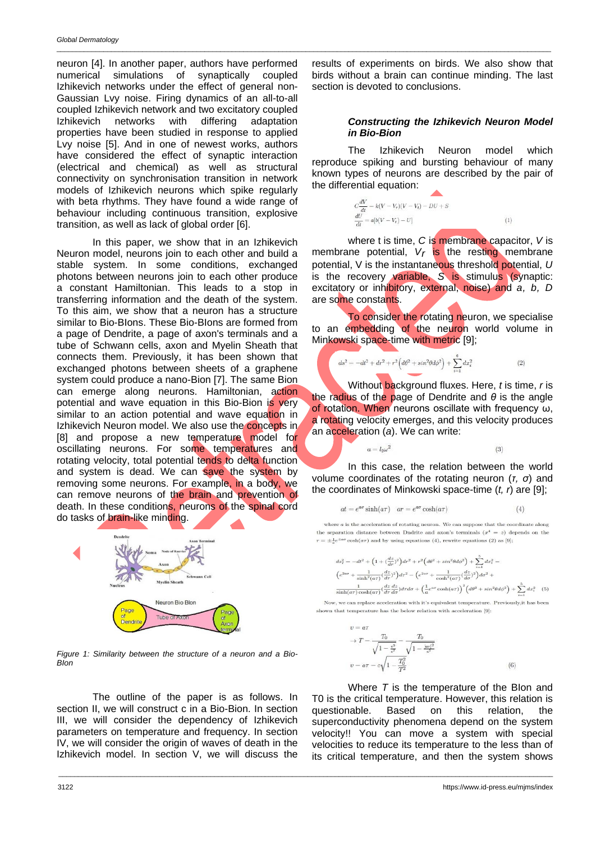neuron [4]. In another paper, authors have performed numerical simulations of synaptically coupled Izhikevich networks under the effect of general non-Gaussian Lvy noise. Firing dynamics of an all-to-all coupled Izhikevich network and two excitatory coupled Izhikevich networks with differing adaptation properties have been studied in response to applied Lvy noise [5]. And in one of newest works, authors have considered the effect of synaptic interaction (electrical and chemical) as well as structural connectivity on synchronisation transition in network models of Izhikevich neurons which spike regularly with beta rhythms. They have found a wide range of behaviour including continuous transition, explosive transition, as well as lack of global order [6].

In this paper, we show that in an Izhikevich Neuron model, neurons join to each other and build a stable system. In some conditions, exchanged photons between neurons join to each other produce a constant Hamiltonian. This leads to a stop in transferring information and the death of the system. To this aim, we show that a neuron has a structure similar to Bio-BIons. These Bio-BIons are formed from a page of Dendrite, a page of axon's terminals and a tube of Schwann cells, axon and Myelin Sheath that connects them. Previously, it has been shown that exchanged photons between sheets of a graphene system could produce a nano-Bion [7]. The same Bion can emerge along neurons. Hamiltonian, action potential and wave equation in this Bio-Bion is very similar to an action potential and wave equation in Izhikevich Neuron model. We also use the concepts in [8] and propose a new temperature model for oscillating neurons. For some temperatures and rotating velocity, total potential tends to delta function and system is dead. We can save the system by removing some neurons. For example, in a body, we can remove neurons of the brain and prevention of death. In these conditions, neurons of the spinal cord do tasks of brain-like minding.



*Figure 1: Similarity between the structure of a neuron and a Bio-BIon*

The outline of the paper is as follows. In section II, we will construct c in a Bio-Bion. In section III, we will consider the dependency of Izhikevich parameters on temperature and frequency. In section IV, we will consider the origin of waves of death in the Izhikevich model. In section V, we will discuss the

\_\_\_\_\_\_\_\_\_\_\_\_\_\_\_\_\_\_\_\_\_\_\_\_\_\_\_\_\_\_\_\_\_\_\_\_\_\_\_\_\_\_\_\_\_\_\_\_\_\_\_\_\_\_\_\_\_\_\_\_\_\_\_\_\_\_\_\_\_\_\_\_\_\_\_\_\_\_\_\_\_\_\_\_\_\_\_\_\_\_\_\_\_\_\_\_\_\_\_\_\_\_\_\_\_\_\_\_\_\_\_\_\_\_\_\_\_\_\_\_\_\_\_\_\_\_\_

results of experiments on birds. We also show that birds without a brain can continue minding. The last section is devoted to conclusions.

\_\_\_\_\_\_\_\_\_\_\_\_\_\_\_\_\_\_\_\_\_\_\_\_\_\_\_\_\_\_\_\_\_\_\_\_\_\_\_\_\_\_\_\_\_\_\_\_\_\_\_\_\_\_\_\_\_\_\_\_\_\_\_\_\_\_\_\_\_\_\_\_\_\_\_\_\_\_\_\_\_\_\_\_\_\_\_\_\_\_\_\_\_\_\_\_\_\_\_\_\_\_\_\_\_\_\_\_\_\_\_\_\_\_\_\_\_\_\_\_\_\_\_\_\_\_\_

### *Constructing the Izhikevich Neuron Model in Bio-Bion*

The Izhikevich Neuron model which reproduce spiking and bursting behaviour of many known types of neurons are described by the pair of the differential equation:

$$
C\frac{dV}{dt} = k(V - Vr)(V - Vt) - DU + S
$$
  
\n
$$
\frac{dU}{dt} = a[b(V - Vr) - U]
$$
\n(1)

where t is time, *C* is membrane capacitor, *V* is membrane potential,  $V_r$  is the resting membrane potential, V is the instantaneous threshold potential, *U* is the recovery variable, *S* is stimulus (synaptic: excitatory or inhibitory, external, noise) and *a, b, D* are some constants.

To consider the rotating neuron, we specialise to an embedding of the neuron world volume in Minkowski space-time with metric [9];

$$
ds^{2} = -dt^{2} + dr^{2} + r^{2} \left( d\theta^{2} + \sin^{2}\theta d\phi^{2} \right) + \sum_{i=1}^{6} dx_{i}^{2}
$$
 (2)

Without background fluxes. Here, *t* is time, *r* is the radius of the page of Dendrite and *θ* is the angle of rotation. When neurons oscillate with frequency ω, a rotating velocity emerges, and this velocity produces an acceleration (*a*). We can write:

$$
l_0\omega^2
$$

 $(3)$ 

 $\overline{a}$  =

In this case, the relation between the world volume coordinates of the rotating neuron (*τ, σ*) and the coordinates of Minkowski space-time (*t, r*) are [9];

$$
at = e^{a\sigma}\sinh(a\tau) \quad ar = e^{a\sigma}\cosh(a\tau) \tag{4}
$$

where  $a$  is the acceleration of rotating neuron. We can suppose that the coordinate along the separation distance between Dndrite and axon's terminals  $(x^4 = z)$  depends on the  $r = \pm \frac{1}{2} e^{\pm a\sigma} \cosh(a\tau)$  and by using equations (4), rewrite equations (2) as [9];

$$
\begin{split} ds_{I}^2 & = -dt^2 + \Big(1 + \big(\frac{dz}{dr}\big)^2\Big)dr^2 + r^2\Big(d\theta^2 + sin^2\theta d\phi^2\Big) + \sum_{i=1}^5 dx_i^2 = \\ & \Big(e^{2a\sigma} + \frac{1}{\sinh^2(a\tau)}\big(\frac{dz}{d\tau}\big)^2\Big)dr^2 - \Big(e^{2a\sigma} + \frac{1}{\cosh^2(a\tau)}\big(\frac{dz}{d\sigma}\big)^2\Big)d\sigma^2 + \\ & \frac{1}{\sinh(a\tau)\cosh(a\tau)}\big(\frac{dz}{d\tau}\frac{d\bar{z}}{d\sigma}\big)d\tau d\sigma + \Big(\frac{1}{a}e^{a\sigma}\cosh(a\tau)\Big)^2\Big(d\theta^2 + sin^2\theta d\phi^2\Big) + \sum_{i=1}^5 dx_i^2 \quad (5) \end{split}
$$

Now, we can replace acceleration with it's equivalent temperature. Previously, it has been shown that temperature has the below relation with acceleration [9]:

$$
v = a\tau
$$
  
\n
$$
\rightarrow T = \frac{T_0}{\sqrt{1 - \frac{v^2}{c^2}}} = \frac{T_0}{\sqrt{1 - \frac{|ar|^2}{c^2}}}
$$
  
\n
$$
v = a\tau = c\sqrt{1 - \frac{T_0^2}{T^2}}
$$
\n(6)

Where *T* is the temperature of the BIon and T0 is the critical temperature. However, this relation is questionable. Based on this relation, the superconductivity phenomena depend on the system velocity!! You can move a system with special velocities to reduce its temperature to the less than of its critical temperature, and then the system shows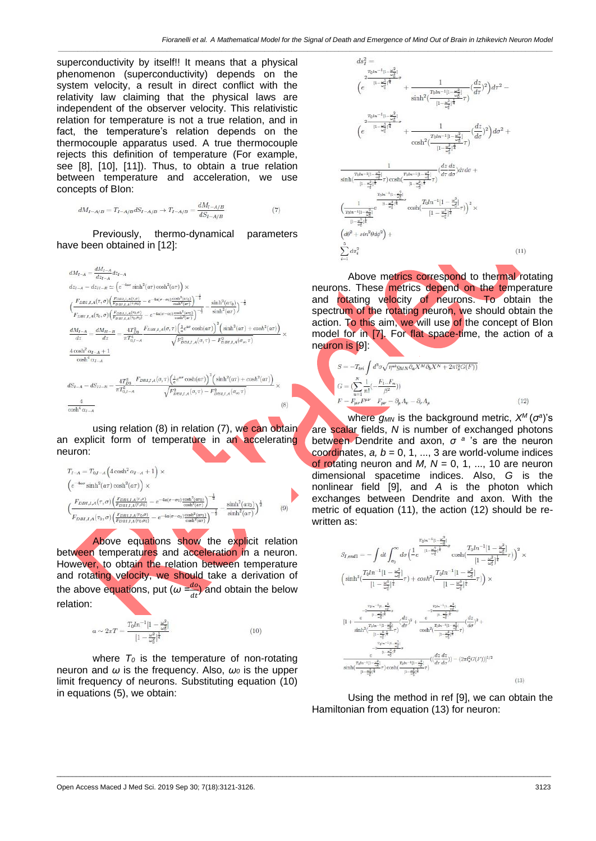superconductivity by itself!! It means that a physical phenomenon (superconductivity) depends on the system velocity, a result in direct conflict with the relativity law claiming that the physical laws are independent of the observer velocity. This relativistic relation for temperature is not a true relation, and in fact, the temperature's relation depends on the thermocouple apparatus used. A true thermocouple rejects this definition of temperature (For example, see [8], [10], [11]). Thus, to obtain a true relation between temperature and acceleration, we use concepts of BIon:

$$
dM_{I-A/B}=T_{I-A/B}dS_{I-A/B}\rightarrow T_{I-A/B}=\frac{dM_{I-A/B}}{dS_{I-A/B}}\eqno(7)
$$

Previously, thermo-dynamical parameters have been obtained in [12]:

$$
\begin{split} dM_{I-A}&=\frac{dM_{I-A}}{dz_{I-A}}dz_{I-A}\\ dz_{I-A}&=dz_{II-B}\simeq\left(e^{-4a\sigma}\sinh^{2}(a\tau)\cosh^{2}(a\tau)\right)\times\\ &\left(\frac{F_{DBI,I,A}(\tau,\sigma)\left(\frac{F_{DBI,I,A}(\tau,\sigma)}{F_{DBI,I,A}(\tau,\sigma)}-e^{-4a(\sigma-\sigma_{0})\frac{\cosh^{2}(a\tau_{0})}{\cosh^{2}(\sigma_{0})}}\right)^{-\frac{1}{2}}}{F_{DBI,I,A}(\tau_{0},\sigma)\left(\frac{F_{DBI,I,A}(\tau,\sigma)}{F_{DBI,I,A}(\tau_{0},\sigma)}-e^{-4a(\sigma-\sigma_{0})\frac{\cosh^{2}(a\tau_{0})}{\cosh^{2}(\sigma_{0})}}\right)^{-\frac{1}{2}}}-\frac{\sinh^{2}(a\tau_{0})}{\sinh^{2}(a\tau)}\right)^{-\frac{1}{2}}\\ &\frac{dM_{I-A}}{dz}=\frac{dM_{II-B}}{dz}=\frac{4T_{D,I-A}^{2}}{\pi I_{0,I-A}^{3}}\\ &\frac{4\cosh^{2}\alpha_{I-A}+1}{\cosh^{4}\alpha_{I-A}}\\ &\cosh^{4}\alpha_{I-A}\\ &\cosh^{4}\alpha_{I-A}\\ dS_{I-A}&=dS_{II-B}=\frac{4T_{D}^{2}}{\pi I_{0,I-A}^{2}}\frac{F_{DBI,I,A}(\sigma,\tau)\left(\frac{1}{a}e^{a\sigma}\cosh(a\tau)\right)^{2}\left(\sinh^{2}(a\tau)+\cosh^{2}(a\tau)\right)}{\sqrt{F_{DBI,I,A}^{2}(\sigma,\tau)}\sqrt{F_{DBI,I,A}(\sigma,\tau)-F_{DBI,I,A}^{2}(\sigma_{\sigma},\tau)}}\times\\ &\frac{4}{\cosh^{4}\alpha_{I-A}}\\ &\cosh^{4}\alpha_{I-A}\end{split} \eqno{(8)}
$$

using relation (8) in relation (7), we can obtain an explicit form of temperature in an accelerating neuron:

$$
T_{I-A} = T_{0,I-A} \left( 4 \cosh^2 \alpha_{I-A} + 1 \right) \times
$$
  
\n
$$
\left( e^{-4a\sigma} \sinh^2(\alpha \tau) \cosh^2(\alpha \tau) \right) \times
$$
  
\n
$$
\left( \frac{F_{DBI,I,A}(\tau, \sigma) \left( \frac{F_{DBI,I,A}(\tau, \sigma)}{F_{DBI,I,A}(\tau, \sigma)} - e^{-4a(\sigma - \sigma_0)} \frac{\cosh^2(\alpha \tau)}{\cosh^2(\alpha \tau)} \right)^{-\frac{1}{2}}}{F_{DBI,I,A}(\tau_0, \sigma) \left( \frac{F_{DBI,I,A}(\tau_0, \sigma)}{F_{DBI,I,A}(\tau_0, \sigma)} - e^{-4a(\sigma - \sigma_0)} \frac{\cosh^2(\alpha \tau_0)}{\cosh^2(\alpha \tau)} \right)^{-\frac{1}{2}}} - \frac{\sinh^2(\alpha \tau_0)}{\sinh^2(\alpha \tau)} \right)^{\frac{1}{2}} \tag{9}
$$

Above equations show the explicit relation between temperatures and acceleration in a neuron. However, to obtain the relation between temperature and rotating velocity, we should take a derivation of the above equations, put (*ω =*  $\frac{du}{dt}$ ) and obtain the below relation:

$$
a \sim 2\pi T = \frac{T_0 ln^{-1} [1 - \frac{\omega^2}{\omega_0^2}]}{[1 - \frac{\omega^2}{\omega_0^2}]^{\frac{1}{4}}} \tag{10}
$$

where  $T_0$  is the temperature of non-rotating neuron and *ω* is the frequency. Also, *ω<sup>0</sup>* is the upper limit frequency of neurons. Substituting equation (10) in equations (5), we obtain:



Above metrics correspond to thermal rotating neurons. These metrics depend on the temperature and rotating velocity of neurons. To obtain the spectrum of the rotating neuron, we should obtain the action. To this aim, we will use of the concept of Blon model for in [7]. For flat space-time, the action of a neuron is [9]:

$$
S = -T_{tri} \int d^3 \sigma \sqrt{\eta^{ab} g_{MN} \partial_a X^M \partial_b X^N + 2\pi l_s^2 G(F))}
$$
  
\n
$$
G = (\sum_{n=1}^N \frac{1}{n!} (-\frac{F_1 \dots F_n}{\beta^2}))
$$
  
\n
$$
F = F_{\mu\nu} F^{\mu\nu} - F_{\mu\nu} = \partial_\mu A_\nu - \partial_\nu A_\mu
$$
\n(12)

where *gMN* is the background metric, *X <sup>M</sup>*(*σ a* )'s are scalar fields, *N* is number of exchanged photons between Dendrite and axon, *σ <sup>a</sup>* 's are the neuron coordinates,  $a, b = 0, 1, ..., 3$  are world-volume indices of rotating neuron and  $M$ ,  $N = 0, 1, ..., 10$  are neuron dimensional spacetime indices. Also, *G* is the nonlinear field [9], and *A* is the photon which exchanges between Dendrite and axon. With the metric of equation (11), the action (12) should be rewritten as:

$$
\begin{split} S_{I,end1} = & -\int dt \int_{\sigma_0}^{\infty} d\sigma \Big( \frac{\frac{T_0 t^{\kappa^{-1}} t^1 - \frac{\omega_0^2}{\omega_0^2} t^2}{(1 - \frac{\omega_0^2}{\omega_0^2})^{\frac{1}{\kappa}}} \cosh \Big( \frac{T_0 t n^{-1} [1 - \frac{\omega^2}{\omega_0^2}] }{[1 - \frac{\omega^2}{\omega_0^2}]^{\frac{1}{\kappa}}} \tau) \Big)^2 \times \\ & \Big( \sinh^2 (\frac{T_0 t n^{-1} [1 - \frac{\omega^2}{\omega_0^2}] \frac{1}{\kappa}}{[1 - \frac{\omega^2}{\omega_0^2}]^{\frac{1}{\kappa}}} \tau) + \cosh^2 (\frac{T_0 t n^{-1} [1 - \frac{\omega^2}{\omega_0^2}] \frac{1}{\kappa}}{[1 - \frac{\omega^2}{\omega_0^2}]^{\frac{1}{\kappa}}} \tau) \Big) \times \\ & - \frac{2^{\frac{T_0 t \kappa^{-1} (t - \frac{2}{\kappa})}{\kappa}}}{\sinh^2 (\frac{T_0 t n^{-1} [1 - \frac{\omega^2}{\omega_0^2}] \frac{1}{\kappa}}} \Big( \frac{dz}{d\tau})^2 + \frac{e^{-\frac{T_0 t \kappa^{-1} (t - \frac{2}{\kappa_0^2})}{\kappa}}}{\cosh^2 (\frac{T_0 t n^{-1} [1 - \frac{\omega^2}{\kappa_0^2}] \tau})} \Big( \frac{dz}{d\tau})^2 + \\ & - \frac{2^{\frac{1}{10} t - \frac{1}{\kappa} - \frac{1}{\kappa} - \frac{1}{\kappa}}{[1 - \frac{\omega^2}{\kappa_0^2}]^{\frac{1}{\kappa}}} \sigma ( \frac{dz}{d\tau} \frac{dz}{d\tau} ) - (2\pi t_s^2 G(F)) \Big)^{1/2} \\ & - \frac{e^{-\frac{1}{10} t - \frac{1}{\kappa}}}{[1 - \frac{\omega^2}{\kappa_0^2}]^{\frac{1}{\kappa}}} \sigma ( \frac{dz}{d\tau} \frac{dz}{d\sigma} ) - (2\pi t_s^2 G(F)) \Big)^{1/2} \end{split} \tag{13}
$$

Using the method in ref [9], we can obtain the Hamiltonian from equation (13) for neuron:

\_\_\_\_\_\_\_\_\_\_\_\_\_\_\_\_\_\_\_\_\_\_\_\_\_\_\_\_\_\_\_\_\_\_\_\_\_\_\_\_\_\_\_\_\_\_\_\_\_\_\_\_\_\_\_\_\_\_\_\_\_\_\_\_\_\_\_\_\_\_\_\_\_\_\_\_\_\_\_\_\_\_\_\_\_\_\_\_\_\_\_\_\_\_\_\_\_\_\_\_\_\_\_\_\_\_\_\_\_\_\_\_\_\_\_\_\_\_\_\_\_\_\_\_\_\_\_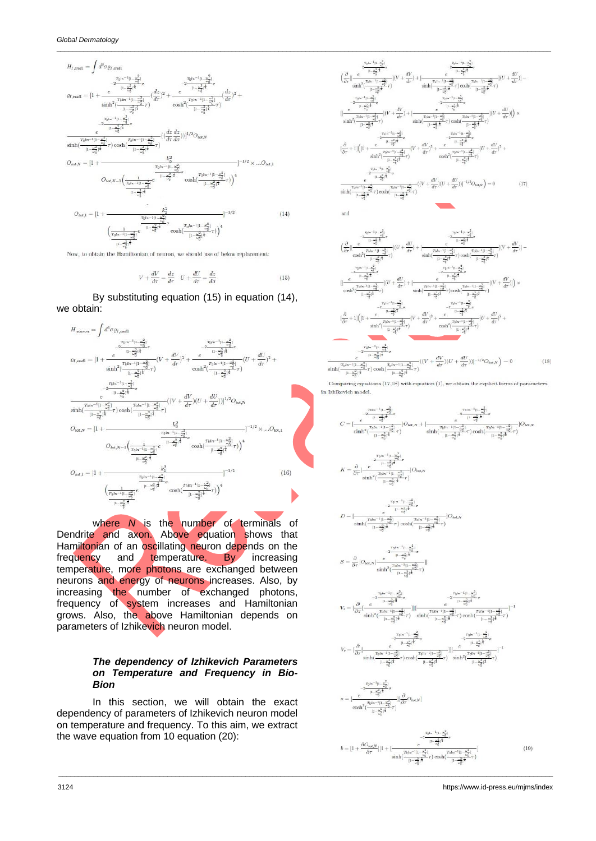

Now, to obtain the Hamiltonian of neuron, we should use of below replacement:

$$
V + \frac{dV}{d\tau} = \frac{dz}{d\tau} \quad U + \frac{dU}{d\tau} = \frac{dz}{d\sigma}
$$
 (15)

By substituting equation (15) in equation (14), we obtain:



where *N* is the number of terminals of Dendrite and axon. Above equation shows that Hamiltonian of an oscillating neuron depends on the frequency and temperature. By increasing temperature, more photons are exchanged between neurons and energy of neurons increases. Also, by increasing the number of exchanged photons, frequency of system increases and Hamiltonian grows. Also, the above Hamiltonian depends on parameters of Izhikevich neuron model.

#### *The dependency of Izhikevich Parameters on Temperature and Frequency in Bio-Bion*

In this section, we will obtain the exact dependency of parameters of Izhikevich neuron model on temperature and frequency. To this aim, we extract the wave equation from 10 equation (20):





Comparing equations  $(17,18)$  with equation  $(1)$ , we obtain the explicit forms of parameters

in Izhikevich model

$$
K=\frac{\partial}{\partial \tau}[\frac{e^{-\frac{2\overline{\tau}_{0}(\alpha^{-1}(1-\frac{\omega_{\sigma}^{2}}{\sigma})}{(1-\frac{\omega_{\sigma}^{2}}{\sigma})^{4}}\sigma}}{\sinh^{2}(\frac{\tau_{0}(\alpha^{-1}(1-\frac{\omega_{\sigma}^{2}}{\sigma})}{(1-\frac{\omega_{\sigma}^{2}}{\sigma})^{4}}\tau)})}]O_{tot,N}
$$

$$
D=[\frac{ \tau_{\rm D}^{1n-1} {\rm ln}\frac{\omega_2^2}{\epsilon^2}}{ \sinh(\frac{\tau_{\rm D} t_{\rm D}+1}{\rm ln}\frac{\omega_2^2}{\epsilon^2})^{\frac{1}{4}}}\sigma \\ \frac{1- \omega_2^2}{\sinh(\frac{\tau_{\rm D} t_{\rm D}+1}{\rm ln}\frac{\omega_2^2}{\epsilon^2})^{\frac{1}{4}}}\sigma) \cosh(\frac{\tau_{\rm D} t_{\rm D}+1 {\rm ln}\frac{\omega_2^2}{\epsilon^2})}{\rm ln}\frac{1}{\omega_2^2})^{\frac{1}{4}}}\sigma]
$$

$$
=\frac{\partial}{\partial \tau} [O_{tot,N}[\frac{e^{-\frac{T_01\kappa^{-1}[1-\frac{\omega_d^2}{\omega_d^2}]_\sigma}}{1-\frac{\omega_d^2}{\sigma_d^2}+\tau}]}{ \sinh^2(\frac{T \ln^{n-1}[1-\frac{\omega_d^2}{\omega_d^2}]_\tau}{[1-\frac{\omega_d^2}{\sigma_d^2}]^\frac{1}{\tau}})}]
$$

 $\overline{S}$ 

$$
\label{eq:epsilon} \begin{aligned} \epsilon &= [\frac{\partial}{\partial \tau}[\frac{-\frac{7b^{(n-1)(1-\frac{\sigma^2}{\sigma_0^2}}}{(1-\frac{\sigma^2}{\sigma_0^2})^{\frac{3}{4}}}}]^{2} \\ \epsilon &= [\frac{\partial}{\partial \tau}[\frac{e}{\sinh^2(\frac{7b^{(n-1)(1-\frac{\sigma^2}{\sigma_0^2}}}{(1-\frac{\sigma^2}{\sigma_0^2})^{\frac{1}{4}}}}-]][\frac{e}{\sinh^2(\frac{7b^{(n-1)(1-\frac{\sigma^2}{\sigma_0^2}}}{(1-\frac{\sigma^2}{\sigma_0^2})^{\frac{1}{4}}} \tau)\cosh(\frac{7b^{(n-1)(1-\frac{\sigma^2}{\sigma_0^2}}}{(1-\frac{\sigma^2}{\sigma_0^2})^{\frac{1}{4}}} \tau)\cosh(\frac{7b^{(n-1)(1-\frac{\sigma^2}{\sigma_0^2}}}{(1-\frac{\sigma^2}{\sigma_0^2})^{\frac{1}{4}}} \tau))}]^{-1} \\ \frac{1}{\pi\epsilon_0 e^{-(n-1)(1-\frac{\sigma^2}{\sigma_0^2}})} \end{aligned}
$$

$$
\gamma_{\tau} = \left[ \frac{\partial}{\partial \tau} \right] \frac{e^{-\frac{2\eta_{1}(\kappa_{\tau}) - \frac{1}{\kappa_{\tau}}}{\left| \frac{\kappa_{\tau}}{\kappa_{\tau}} \right| + \frac{\kappa_{\tau}^2}{\kappa_{\tau}} \right]}} - \frac{2\frac{\eta_{1}(\kappa_{\tau}) - \frac{1}{\kappa_{\tau}}}{\left| \kappa_{\tau} - \frac{1}{\kappa_{\tau}^2} \right|}}{ \frac{e^{-\frac{1}{\kappa_{\tau}}\left| \frac{\kappa_{\tau}}{\kappa_{\tau}} \right| + \frac{\kappa_{\tau}^2}{\kappa_{\tau}^2}}}{\left| \kappa_{\tau} - \frac{1}{\kappa_{\tau}^2} \right| + \frac{1}{\kappa_{\tau}^2} \left| \frac{\kappa_{\tau}}{\kappa_{\tau}} \right| + \frac{1}{\kappa_{\tau}^2} \frac{1}{\sqrt{\tau}}} \right|} - \frac{1}{\sinh^2 \left( \frac{7\alpha\kappa - 11 - \frac{\kappa^2}{\kappa_{\tau}^2}}{\left| \kappa_{\tau} - \frac{\kappa^2}{\kappa_{\tau}^2} \right| + \frac{1}{\kappa_{\tau}^2} \right| + \frac{1}{\kappa_{\tau}^2} \left| \frac{\kappa_{\tau}}{\kappa_{\tau}^2} \right|} - \frac{1}{\kappa_{\tau}^2} \frac{1}{\sqrt{\tau}} - \frac{1}{\kappa_{\tau}^2} \frac{1}{\sqrt{\tau}} \frac{1}{\sqrt{\tau}} \frac{1}{\sqrt{\tau}} \frac{1}{\sqrt{\tau}} - \frac{1}{\sqrt{\tau}} \frac{1}{\sqrt{\tau}} \frac{1}{\sqrt{\tau}} \frac{1}{\sqrt{\tau}} \frac{1}{\sqrt{\tau}} \frac{1}{\sqrt{\tau}} \frac{1}{\sqrt{\tau}} \frac{1}{\sqrt{\tau}} \frac{1}{\sqrt{\tau}} \frac{1}{\sqrt{\tau}} \frac{1}{\sqrt{\tau}} \frac{1}{\sqrt{\tau}} \frac{1}{\sqrt{\tau}} \frac{1}{\sqrt{\tau}} \frac{1}{\sqrt{\tau}} \frac{1}{\sqrt{\tau}} \frac{1}{\sqrt{\tau}} \frac{1}{\sqrt{\tau}} \frac{1}{\sqrt{\tau}} \frac{1}{\sqrt{\tau}} \frac{1}{\sqrt{\tau}}
$$

$$
a = [\frac{e^{-\frac{7^{5^{4\alpha^{-1}1+\frac{\omega_{q}^2}{\omega_{q}^2}}\sigma}{(1-\frac{\omega_{q}^2}{\omega_{q}^2})^{\frac{1}{4}}}}}{\cosh^2(\frac{7^{5^{4\alpha^{-1}1+\frac{\omega_{q}^2}{\omega_{q}^2}}\sigma}{(1-\frac{\omega_{q}^2}{\omega_{q}^2})^{\frac{1}{4}}})}][\frac{\partial}{\partial \tau}O_{tot,N}]
$$

\_\_\_\_\_\_\_\_\_\_\_\_\_\_\_\_\_\_\_\_\_\_\_\_\_\_\_\_\_\_\_\_\_\_\_\_\_\_\_\_\_\_\_\_\_\_\_\_\_\_\_\_\_\_\_\_\_\_\_\_\_\_\_\_\_\_\_\_\_\_\_\_\_\_\_\_\_\_\_\_\_\_\_\_\_\_\_\_\_\_\_\_\_\_\_\_\_\_\_\_\_\_\_\_\_\_\_\_\_\_\_\_\_\_\_\_\_\_\_\_\_\_\_\_\_\_\_

$$
b = [1 + \frac{\partial O_{tot,N}}{\partial \tau}] |1 + [\frac{e^{\frac{-2\sigma^2}{16} + \frac{2\sigma^2}{\sigma^2}}}{\sinh(\frac{T_0 ln^{-1}(1 - \frac{2\sigma^2}{\sigma^2})}{[1 - \frac{2\sigma^2}{\sigma^2}]}}) \cosh(\frac{T_0 ln^{-1}(1 - \frac{2\sigma^2}{\sigma^2})}{[1 - \frac{2\sigma^2}{\sigma^2}]^{\frac{2}{\sigma^2}}})
$$
(19)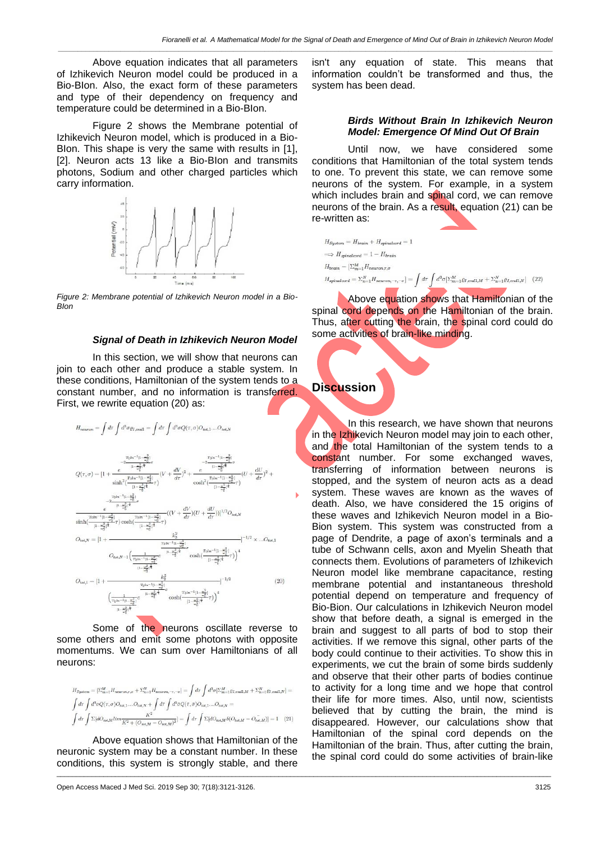*\_\_\_\_\_\_\_\_\_\_\_\_\_\_\_\_\_\_\_\_\_\_\_\_\_\_\_\_\_\_\_\_\_\_\_\_\_\_\_\_\_\_\_\_\_\_\_\_\_\_\_\_\_\_\_\_\_\_\_\_\_\_\_\_\_\_\_\_\_\_\_\_\_\_\_\_\_\_\_\_\_\_\_\_\_\_\_\_\_\_\_\_\_\_\_\_\_\_\_\_\_\_\_\_\_\_\_\_\_\_\_\_\_\_\_\_\_\_\_\_\_\_\_\_\_\_\_*

Above equation indicates that all parameters of Izhikevich Neuron model could be produced in a Bio-BIon. Also, the exact form of these parameters and type of their dependency on frequency and temperature could be determined in a Bio-BIon.

Figure 2 shows the Membrane potential of Izhikevich Neuron model, which is produced in a Bio-BIon. This shape is very the same with results in [1], [2]. Neuron acts 13 like a Bio-Blon and transmits photons, Sodium and other charged particles which carry information.



*Figure 2: Membrane potential of Izhikevich Neuron model in a Bio-BIon*

#### *Signal of Death in Izhikevich Neuron Model*

In this section, we will show that neurons can join to each other and produce a stable system. In these conditions, Hamiltonian of the system tends to a constant number, and no information is transferred. First, we rewrite equation (20) as:

$$
\begin{split} H_{\textit{neuron}} = \int d\tau \int d^3\sigma \varrho_{I,\textit{end1}} &= \int d\tau \int d^3\sigma Q(\tau,\sigma) O_{\textit{tot},1} .... O_{\textit{tot},N} \\ Q(\tau,\sigma) &= [1 + \frac{e^{-\frac{\tau_0 (h-1)}{4} + \frac{\sigma^2}{\sigma^2_0})}}{\sinh^2(\frac{7b (h-1) + \frac{b^2}{\sigma^2_0})}{1 - \frac{\sigma^2}{\sigma^2_0}}\tau} (V + \frac{dV}{d\tau})^2 + \frac{e^{-\frac{7b (h-1) + \frac{b^2}{\sigma^2_0})}{1 - \frac{\sigma^2_0}{\sigma^2_0}}\tau}}{\cosh^2(\frac{7b (h-1) + \frac{b^2}{\sigma^2_0})}{1 - \frac{\sigma^2_0}{\sigma^2_0}}\tau})} (U + \frac{dU}{d\tau})^2 \\ &- \frac{\tau_0 b^{-1} (1 - \frac{b^2}{\sigma^2_0})}{1 - \frac{\sigma^2_0}{\sigma^2_0}}\tau} \frac{1}{\cosh^2(\frac{7b (h-1) + \frac{b^2}{\sigma^2_0})}{1 - \frac{b^2}{\sigma^2_0}}\tau})} ((V + \frac{dV}{d\tau}) (U + \frac{dU}{d\tau}))]^{1/2} O_{\textit{tot},N} \\ \sinh(\frac{\tau_0 h^{-1} (1 - \frac{b^2}{\sigma^2_0})}{1 - \frac{b^2}{\sigma^2_0})^{\frac{b^2}{\sigma^2_0}}\tau} \cosh(\frac{\tau_0 h^{-1} (1 - \frac{b^2}{\sigma^2_0})}{1 - \frac{b^2}{\sigma^2_0})^{\frac{b^2}{\sigma^2_0}}} + \frac{k^2}{\cosh^2(\frac{b^2}{\sigma^2_0})^{\frac{b^2}{\sigma^2_0}}}\frac{1}{\cosh^2(\frac{b^2}{\sigma^2_0})^{\frac{b^2}{\sigma^2_0}}}\,. \end{split}
$$

$$
O_{tot,N} = |1 + \frac{r_{\text{tot}} - 1|_{\frac{1 - \frac{2}{\sqrt{3}}}{6}}}{O_{tot,N-1} \left(\frac{1}{\frac{r_{\text{tot}} - 1|_{\frac{1 - \frac{2}{\sqrt{3}}}{6}}}{\frac{1 - \frac{2}{\sqrt{3}}}{6}} e^{-\frac{1 - \frac{2}{\sqrt{3}}}{6}} \cosh\left(\frac{r_{\text{tot}} - 1|_{\frac{1 - \frac{2}{\sqrt{3}}}{6}}}{\frac{1 - \frac{2}{\sqrt{3}}}{6}} \tau\right)\right)^4}
$$
  
\n
$$
O_{tot,1} = |1 + \frac{r_{\text{tot}} - 1|_{\frac{1 - \frac{2}{\sqrt{3}}}{6}}}{\left(\frac{r_{\text{tot}} - 1|_{\frac{1 - \frac{2}{\sqrt{3}}}{6}}}{\frac{1 - \frac{2}{\sqrt{3}}}{6}} e^{-\frac{1 - \frac{2}{\sqrt{3}}}{6}} \cosh\left(\frac{r_{\text{tot}} - 1|_{\frac{1 - \frac{2}{\sqrt{3}}}{6}}}{\frac{1 - \frac{2}{\sqrt{3}}}{6}} \tau\right)\right)^4}
$$
\n
$$
\left(\frac{1 - \frac{2}{\sqrt{3}}}{\frac{r_{\text{tot}} - 1|_{\frac{1 - \frac{2}{\sqrt{3}}}{6}}}{\frac{1 - \frac{2}{\sqrt{3}}}{6}} e^{-\frac{1 - \frac{2}{\sqrt{3}}}{6}} \cosh\left(\frac{r_{\text{tot}} - 1|_{\frac{1 - \frac{2}{\sqrt{3}}}{6}}}{\frac{1 - \frac{2}{\sqrt{3}}}{6}} \tau\right)\right)^4}
$$
\n(20)

 $1-1/2$  0

Some of the neurons oscillate reverse to some others and emit some photons with opposite momentums. We can sum over Hamiltonians of all neurons:

$$
\begin{split} H_{System} &= \left[\Sigma_{m=1}^{M} H_{neuron,r,\sigma} + \Sigma_{n=1}^{N} H_{neuron,-\tau,-\sigma}\right] = \int d\tau \int d^{3}\sigma \left[\Sigma_{m=1}^{M} \varrho_{I,end1,M} + \Sigma_{n=1}^{N} \varrho_{I,end,N}\right] = \\ & \int d\tau \int d^{3}\sigma Q(\tau,\sigma) O_{tot,1} ... O_{tot,N} + \int d\tau \int d^{3}\sigma Q(\tau,\sigma) O_{tot,1} ... O_{tot,N} = \\ & \int d\tau \int \Sigma [dO_{tot,M} \lim_{K^{2} + \left(O_{tot,M} - O_{tot,M}\right)^{2}}] = \int d\tau \int \Sigma [dO_{tot,M} \delta(O_{tot,M} - O_{tot,M})] = 1 \end{split} \eqno{(21)}
$$

Above equation shows that Hamiltonian of the neuronic system may be a constant number. In these conditions, this system is strongly stable, and there

Open Access Maced J Med Sci. 2019 Sep 30; 7(18):3121-3126. 3125

isn't any equation of state. This means that information couldn't be transformed and thus, the system has been dead.

#### *Birds Without Brain In Izhikevich Neuron Model: Emergence Of Mind Out Of Brain*

Until now, we have considered some conditions that Hamiltonian of the total system tends to one. To prevent this state, we can remove some neurons of the system. For example, in a system which includes brain and spinal cord, we can remove neurons of the brain. As a result, equation (21) can be re-written as:

| $H_{System} = H_{brain} + H_{spinalcord} = 1$                                                                                                                                                                            |  |
|--------------------------------------------------------------------------------------------------------------------------------------------------------------------------------------------------------------------------|--|
| $\implies$ H <sub>spinalcord</sub> = 1 - H <sub>brain</sub>                                                                                                                                                              |  |
| $H_{brain} = [\sum_{m=1}^{M} H_{neuron,\tau,\sigma}]$                                                                                                                                                                    |  |
| $H_{\textit{spinalcord}} = \Sigma_{n=1}^{N} H_{\textit{neuron},-\tau,-\sigma} ] = \int d\tau \; \int d^3\sigma [\Sigma_{m=1}^{M} \varrho_{I,\textit{end1},M} + \Sigma_{n=1}^{N} \varrho_{I,\textit{end1},N} ) \eqno(22)$ |  |

Above equation shows that Hamiltonian of the spinal cord depends on the Hamiltonian of the brain. Thus, after cutting the brain, the spinal cord could do some activities of brain-like minding.

# **Discussion**

\_\_\_\_\_\_\_\_\_\_\_\_\_\_\_\_\_\_\_\_\_\_\_\_\_\_\_\_\_\_\_\_\_\_\_\_\_\_\_\_\_\_\_\_\_\_\_\_\_\_\_\_\_\_\_\_\_\_\_\_\_\_\_\_\_\_\_\_\_\_\_\_\_\_\_\_\_\_\_\_\_\_\_\_\_\_\_\_\_\_\_\_\_\_\_\_\_\_\_\_\_\_\_\_\_\_\_\_\_\_\_\_\_\_\_\_\_\_\_\_\_\_\_\_\_\_\_

In this research, we have shown that neurons in the Izhikevich Neuron model may join to each other, and the total Hamiltonian of the system tends to a constant number. For some exchanged waves, transferring of information between neurons is stopped, and the system of neuron acts as a dead system. These waves are known as the waves of death. Also, we have considered the 15 origins of these waves and Izhikevich Neuron model in a Bio-Bion system. This system was constructed from a page of Dendrite, a page of axon's terminals and a tube of Schwann cells, axon and Myelin Sheath that connects them. Evolutions of parameters of Izhikevich Neuron model like membrane capacitance, resting membrane potential and instantaneous threshold potential depend on temperature and frequency of Bio-Bion. Our calculations in Izhikevich Neuron model show that before death, a signal is emerged in the brain and suggest to all parts of bod to stop their activities. If we remove this signal, other parts of the body could continue to their activities. To show this in experiments, we cut the brain of some birds suddenly and observe that their other parts of bodies continue to activity for a long time and we hope that control their life for more times. Also, until now, scientists believed that by cutting the brain, the mind is disappeared. However, our calculations show that Hamiltonian of the spinal cord depends on the Hamiltonian of the brain. Thus, after cutting the brain, the spinal cord could do some activities of brain-like